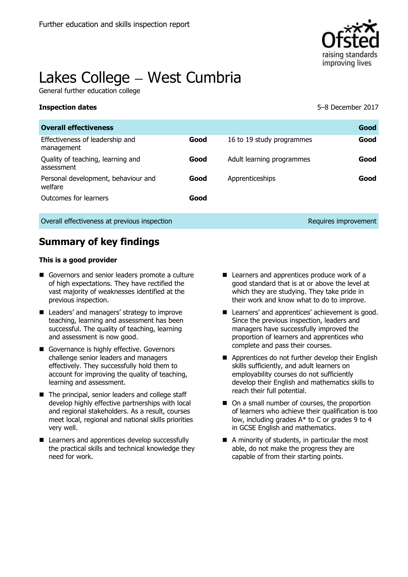

# Lakes College - West Cumbria

General further education college

**Inspection dates** 5–8 December 2017

| <b>Overall effectiveness</b>                    |      |                           | Good                 |
|-------------------------------------------------|------|---------------------------|----------------------|
| Effectiveness of leadership and<br>management   | Good | 16 to 19 study programmes | Good                 |
| Quality of teaching, learning and<br>assessment | Good | Adult learning programmes | Good                 |
| Personal development, behaviour and<br>welfare  | Good | Apprenticeships           | Good                 |
| Outcomes for learners                           | Good |                           |                      |
| Overall effectiveness at previous inspection    |      |                           | Requires improvement |

# **Summary of key findings**

#### **This is a good provider**

- Governors and senior leaders promote a culture of high expectations. They have rectified the vast majority of weaknesses identified at the previous inspection.
- Leaders' and managers' strategy to improve teaching, learning and assessment has been successful. The quality of teaching, learning and assessment is now good.
- Governance is highly effective. Governors challenge senior leaders and managers effectively. They successfully hold them to account for improving the quality of teaching, learning and assessment.
- The principal, senior leaders and college staff develop highly effective partnerships with local and regional stakeholders. As a result, courses meet local, regional and national skills priorities very well.
- Learners and apprentices develop successfully the practical skills and technical knowledge they need for work.
- Learners and apprentices produce work of a good standard that is at or above the level at which they are studying. They take pride in their work and know what to do to improve.
- Learners' and apprentices' achievement is good. Since the previous inspection, leaders and managers have successfully improved the proportion of learners and apprentices who complete and pass their courses.
- Apprentices do not further develop their English skills sufficiently, and adult learners on employability courses do not sufficiently develop their English and mathematics skills to reach their full potential.
- On a small number of courses, the proportion of learners who achieve their qualification is too low, including grades A\* to C or grades 9 to 4 in GCSE English and mathematics.
- A minority of students, in particular the most able, do not make the progress they are capable of from their starting points.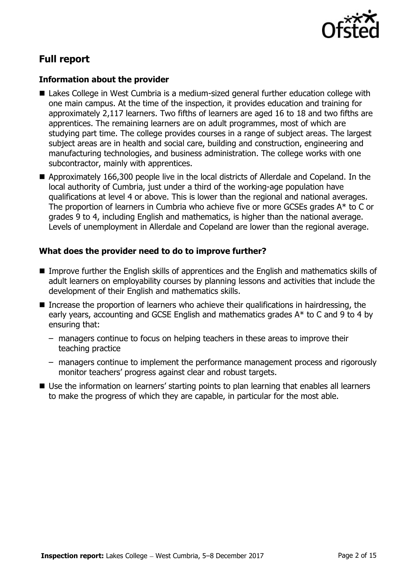

# **Full report**

#### **Information about the provider**

- Lakes College in West Cumbria is a medium-sized general further education college with one main campus. At the time of the inspection, it provides education and training for approximately 2,117 learners. Two fifths of learners are aged 16 to 18 and two fifths are apprentices. The remaining learners are on adult programmes, most of which are studying part time. The college provides courses in a range of subject areas. The largest subject areas are in health and social care, building and construction, engineering and manufacturing technologies, and business administration. The college works with one subcontractor, mainly with apprentices.
- Approximately 166,300 people live in the local districts of Allerdale and Copeland. In the local authority of Cumbria, just under a third of the working-age population have qualifications at level 4 or above. This is lower than the regional and national averages. The proportion of learners in Cumbria who achieve five or more GCSEs grades A\* to C or grades 9 to 4, including English and mathematics, is higher than the national average. Levels of unemployment in Allerdale and Copeland are lower than the regional average.

### **What does the provider need to do to improve further?**

- Improve further the English skills of apprentices and the English and mathematics skills of adult learners on employability courses by planning lessons and activities that include the development of their English and mathematics skills.
- Increase the proportion of learners who achieve their qualifications in hairdressing, the early years, accounting and GCSE English and mathematics grades A\* to C and 9 to 4 by ensuring that:
	- managers continue to focus on helping teachers in these areas to improve their teaching practice
	- managers continue to implement the performance management process and rigorously monitor teachers' progress against clear and robust targets.
- Use the information on learners' starting points to plan learning that enables all learners to make the progress of which they are capable, in particular for the most able.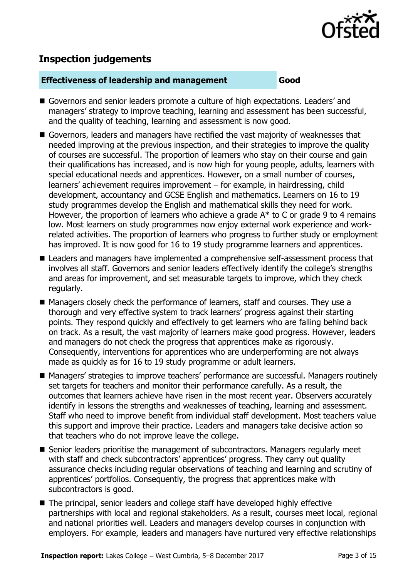

# **Inspection judgements**

#### **Effectiveness of leadership and management Good**

- Governors and senior leaders promote a culture of high expectations. Leaders' and managers' strategy to improve teaching, learning and assessment has been successful, and the quality of teaching, learning and assessment is now good.
- Governors, leaders and managers have rectified the vast majority of weaknesses that needed improving at the previous inspection, and their strategies to improve the quality of courses are successful. The proportion of learners who stay on their course and gain their qualifications has increased, and is now high for young people, adults, learners with special educational needs and apprentices. However, on a small number of courses, learners' achievement requires improvement – for example, in hairdressing, child development, accountancy and GCSE English and mathematics. Learners on 16 to 19 study programmes develop the English and mathematical skills they need for work. However, the proportion of learners who achieve a grade  $A^*$  to C or grade 9 to 4 remains low. Most learners on study programmes now enjoy external work experience and workrelated activities. The proportion of learners who progress to further study or employment has improved. It is now good for 16 to 19 study programme learners and apprentices.
- Leaders and managers have implemented a comprehensive self-assessment process that involves all staff. Governors and senior leaders effectively identify the college's strengths and areas for improvement, and set measurable targets to improve, which they check regularly.
- Managers closely check the performance of learners, staff and courses. They use a thorough and very effective system to track learners' progress against their starting points. They respond quickly and effectively to get learners who are falling behind back on track. As a result, the vast majority of learners make good progress. However, leaders and managers do not check the progress that apprentices make as rigorously. Consequently, interventions for apprentices who are underperforming are not always made as quickly as for 16 to 19 study programme or adult learners.
- Managers' strategies to improve teachers' performance are successful. Managers routinely set targets for teachers and monitor their performance carefully. As a result, the outcomes that learners achieve have risen in the most recent year. Observers accurately identify in lessons the strengths and weaknesses of teaching, learning and assessment. Staff who need to improve benefit from individual staff development. Most teachers value this support and improve their practice. Leaders and managers take decisive action so that teachers who do not improve leave the college.
- Senior leaders prioritise the management of subcontractors. Managers regularly meet with staff and check subcontractors' apprentices' progress. They carry out quality assurance checks including regular observations of teaching and learning and scrutiny of apprentices' portfolios. Consequently, the progress that apprentices make with subcontractors is good.
- The principal, senior leaders and college staff have developed highly effective partnerships with local and regional stakeholders. As a result, courses meet local, regional and national priorities well. Leaders and managers develop courses in conjunction with employers. For example, leaders and managers have nurtured very effective relationships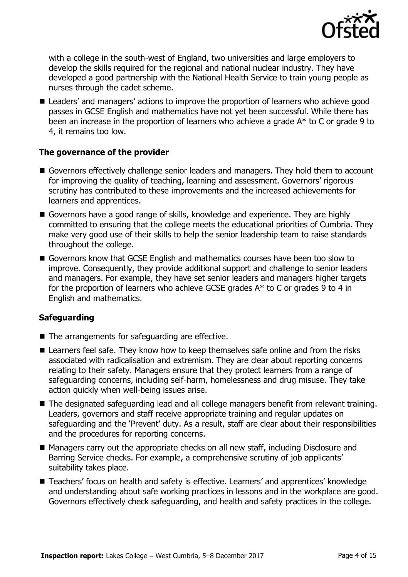

with a college in the south-west of England, two universities and large employers to develop the skills required for the regional and national nuclear industry. They have developed a good partnership with the National Health Service to train young people as nurses through the cadet scheme.

■ Leaders' and managers' actions to improve the proportion of learners who achieve good passes in GCSE English and mathematics have not yet been successful. While there has been an increase in the proportion of learners who achieve a grade A\* to C or grade 9 to 4, it remains too low.

### **The governance of the provider**

- Governors effectively challenge senior leaders and managers. They hold them to account for improving the quality of teaching, learning and assessment. Governors' rigorous scrutiny has contributed to these improvements and the increased achievements for learners and apprentices.
- Governors have a good range of skills, knowledge and experience. They are highly committed to ensuring that the college meets the educational priorities of Cumbria. They make very good use of their skills to help the senior leadership team to raise standards throughout the college.
- Governors know that GCSE English and mathematics courses have been too slow to improve. Consequently, they provide additional support and challenge to senior leaders and managers. For example, they have set senior leaders and managers higher targets for the proportion of learners who achieve GCSE grades A\* to C or grades 9 to 4 in English and mathematics.

### **Safeguarding**

- The arrangements for safeguarding are effective.
- Learners feel safe. They know how to keep themselves safe online and from the risks associated with radicalisation and extremism. They are clear about reporting concerns relating to their safety. Managers ensure that they protect learners from a range of safeguarding concerns, including self-harm, homelessness and drug misuse. They take action quickly when well-being issues arise.
- The designated safeguarding lead and all college managers benefit from relevant training. Leaders, governors and staff receive appropriate training and regular updates on safeguarding and the 'Prevent' duty. As a result, staff are clear about their responsibilities and the procedures for reporting concerns.
- Managers carry out the appropriate checks on all new staff, including Disclosure and Barring Service checks. For example, a comprehensive scrutiny of job applicants' suitability takes place.
- Teachers' focus on health and safety is effective. Learners' and apprentices' knowledge and understanding about safe working practices in lessons and in the workplace are good. Governors effectively check safeguarding, and health and safety practices in the college.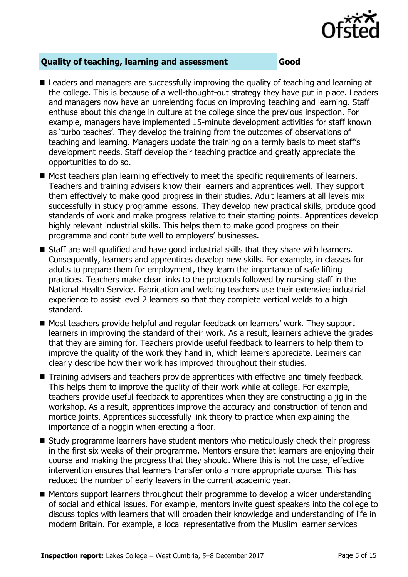

### **Quality of teaching, learning and assessment Good**

- Leaders and managers are successfully improving the quality of teaching and learning at the college. This is because of a well-thought-out strategy they have put in place. Leaders and managers now have an unrelenting focus on improving teaching and learning. Staff enthuse about this change in culture at the college since the previous inspection. For example, managers have implemented 15-minute development activities for staff known as 'turbo teaches'. They develop the training from the outcomes of observations of teaching and learning. Managers update the training on a termly basis to meet staff's development needs. Staff develop their teaching practice and greatly appreciate the opportunities to do so.
- Most teachers plan learning effectively to meet the specific requirements of learners. Teachers and training advisers know their learners and apprentices well. They support them effectively to make good progress in their studies. Adult learners at all levels mix successfully in study programme lessons. They develop new practical skills, produce good standards of work and make progress relative to their starting points. Apprentices develop highly relevant industrial skills. This helps them to make good progress on their programme and contribute well to employers' businesses.
- Staff are well qualified and have good industrial skills that they share with learners. Consequently, learners and apprentices develop new skills. For example, in classes for adults to prepare them for employment, they learn the importance of safe lifting practices. Teachers make clear links to the protocols followed by nursing staff in the National Health Service. Fabrication and welding teachers use their extensive industrial experience to assist level 2 learners so that they complete vertical welds to a high standard.
- Most teachers provide helpful and regular feedback on learners' work. They support learners in improving the standard of their work. As a result, learners achieve the grades that they are aiming for. Teachers provide useful feedback to learners to help them to improve the quality of the work they hand in, which learners appreciate. Learners can clearly describe how their work has improved throughout their studies.
- Training advisers and teachers provide apprentices with effective and timely feedback. This helps them to improve the quality of their work while at college. For example, teachers provide useful feedback to apprentices when they are constructing a jig in the workshop. As a result, apprentices improve the accuracy and construction of tenon and mortice joints. Apprentices successfully link theory to practice when explaining the importance of a noggin when erecting a floor.
- Study programme learners have student mentors who meticulously check their progress in the first six weeks of their programme. Mentors ensure that learners are enjoying their course and making the progress that they should. Where this is not the case, effective intervention ensures that learners transfer onto a more appropriate course. This has reduced the number of early leavers in the current academic year.
- Mentors support learners throughout their programme to develop a wider understanding of social and ethical issues. For example, mentors invite guest speakers into the college to discuss topics with learners that will broaden their knowledge and understanding of life in modern Britain. For example, a local representative from the Muslim learner services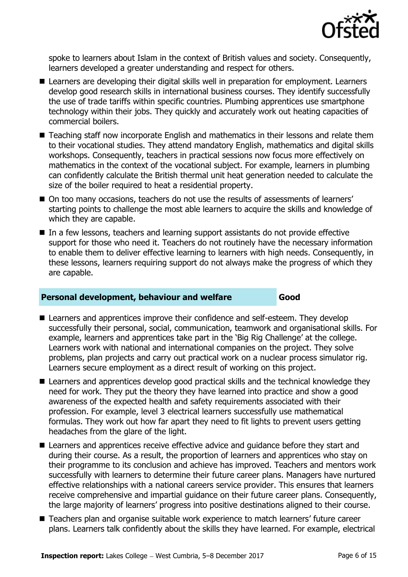

spoke to learners about Islam in the context of British values and society. Consequently, learners developed a greater understanding and respect for others.

- Learners are developing their digital skills well in preparation for employment. Learners develop good research skills in international business courses. They identify successfully the use of trade tariffs within specific countries. Plumbing apprentices use smartphone technology within their jobs. They quickly and accurately work out heating capacities of commercial boilers.
- Teaching staff now incorporate English and mathematics in their lessons and relate them to their vocational studies. They attend mandatory English, mathematics and digital skills workshops. Consequently, teachers in practical sessions now focus more effectively on mathematics in the context of the vocational subject. For example, learners in plumbing can confidently calculate the British thermal unit heat generation needed to calculate the size of the boiler required to heat a residential property.
- On too many occasions, teachers do not use the results of assessments of learners' starting points to challenge the most able learners to acquire the skills and knowledge of which they are capable.
- In a few lessons, teachers and learning support assistants do not provide effective support for those who need it. Teachers do not routinely have the necessary information to enable them to deliver effective learning to learners with high needs. Consequently, in these lessons, learners requiring support do not always make the progress of which they are capable.

#### **Personal development, behaviour and welfare Good**

- Learners and apprentices improve their confidence and self-esteem. They develop successfully their personal, social, communication, teamwork and organisational skills. For example, learners and apprentices take part in the 'Big Rig Challenge' at the college. Learners work with national and international companies on the project. They solve problems, plan projects and carry out practical work on a nuclear process simulator rig. Learners secure employment as a direct result of working on this project.
- Learners and apprentices develop good practical skills and the technical knowledge they need for work. They put the theory they have learned into practice and show a good awareness of the expected health and safety requirements associated with their profession. For example, level 3 electrical learners successfully use mathematical formulas. They work out how far apart they need to fit lights to prevent users getting headaches from the glare of the light.
- Learners and apprentices receive effective advice and guidance before they start and during their course. As a result, the proportion of learners and apprentices who stay on their programme to its conclusion and achieve has improved. Teachers and mentors work successfully with learners to determine their future career plans. Managers have nurtured effective relationships with a national careers service provider. This ensures that learners receive comprehensive and impartial guidance on their future career plans. Consequently, the large majority of learners' progress into positive destinations aligned to their course.
- Teachers plan and organise suitable work experience to match learners' future career plans. Learners talk confidently about the skills they have learned. For example, electrical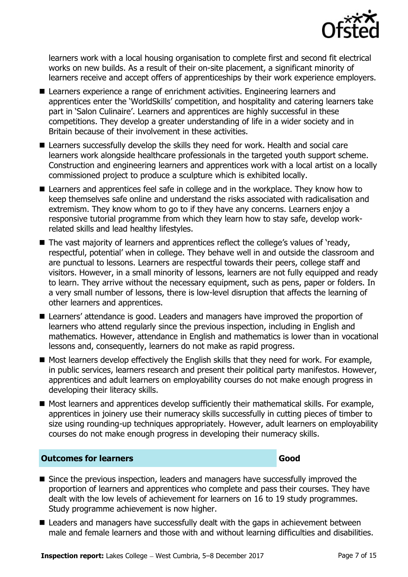

learners work with a local housing organisation to complete first and second fit electrical works on new builds. As a result of their on-site placement, a significant minority of learners receive and accept offers of apprenticeships by their work experience employers.

- Learners experience a range of enrichment activities. Engineering learners and apprentices enter the 'WorldSkills' competition, and hospitality and catering learners take part in 'Salon Culinaire'. Learners and apprentices are highly successful in these competitions. They develop a greater understanding of life in a wider society and in Britain because of their involvement in these activities.
- Learners successfully develop the skills they need for work. Health and social care learners work alongside healthcare professionals in the targeted youth support scheme. Construction and engineering learners and apprentices work with a local artist on a locally commissioned project to produce a sculpture which is exhibited locally.
- Learners and apprentices feel safe in college and in the workplace. They know how to keep themselves safe online and understand the risks associated with radicalisation and extremism. They know whom to go to if they have any concerns. Learners enjoy a responsive tutorial programme from which they learn how to stay safe, develop workrelated skills and lead healthy lifestyles.
- The vast majority of learners and apprentices reflect the college's values of 'ready, respectful, potential' when in college. They behave well in and outside the classroom and are punctual to lessons. Learners are respectful towards their peers, college staff and visitors. However, in a small minority of lessons, learners are not fully equipped and ready to learn. They arrive without the necessary equipment, such as pens, paper or folders. In a very small number of lessons, there is low-level disruption that affects the learning of other learners and apprentices.
- Learners' attendance is good. Leaders and managers have improved the proportion of learners who attend regularly since the previous inspection, including in English and mathematics. However, attendance in English and mathematics is lower than in vocational lessons and, consequently, learners do not make as rapid progress.
- $\blacksquare$  Most learners develop effectively the English skills that they need for work. For example, in public services, learners research and present their political party manifestos. However, apprentices and adult learners on employability courses do not make enough progress in developing their literacy skills.
- Most learners and apprentices develop sufficiently their mathematical skills. For example, apprentices in joinery use their numeracy skills successfully in cutting pieces of timber to size using rounding-up techniques appropriately. However, adult learners on employability courses do not make enough progress in developing their numeracy skills.

#### **Outcomes for learners Good**

- Since the previous inspection, leaders and managers have successfully improved the proportion of learners and apprentices who complete and pass their courses. They have dealt with the low levels of achievement for learners on 16 to 19 study programmes. Study programme achievement is now higher.
- Leaders and managers have successfully dealt with the gaps in achievement between male and female learners and those with and without learning difficulties and disabilities.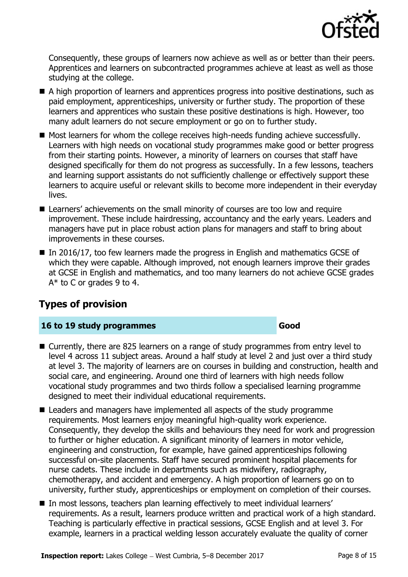

Consequently, these groups of learners now achieve as well as or better than their peers. Apprentices and learners on subcontracted programmes achieve at least as well as those studying at the college.

- A high proportion of learners and apprentices progress into positive destinations, such as paid employment, apprenticeships, university or further study. The proportion of these learners and apprentices who sustain these positive destinations is high. However, too many adult learners do not secure employment or go on to further study.
- Most learners for whom the college receives high-needs funding achieve successfully. Learners with high needs on vocational study programmes make good or better progress from their starting points. However, a minority of learners on courses that staff have designed specifically for them do not progress as successfully. In a few lessons, teachers and learning support assistants do not sufficiently challenge or effectively support these learners to acquire useful or relevant skills to become more independent in their everyday lives.
- Learners' achievements on the small minority of courses are too low and require improvement. These include hairdressing, accountancy and the early years. Leaders and managers have put in place robust action plans for managers and staff to bring about improvements in these courses.
- In 2016/17, too few learners made the progress in English and mathematics GCSE of which they were capable. Although improved, not enough learners improve their grades at GCSE in English and mathematics, and too many learners do not achieve GCSE grades  $A^*$  to C or grades 9 to 4.

# **Types of provision**

### **16 to 19 study programmes Good**

- Currently, there are 825 learners on a range of study programmes from entry level to level 4 across 11 subject areas. Around a half study at level 2 and just over a third study at level 3. The majority of learners are on courses in building and construction, health and social care, and engineering. Around one third of learners with high needs follow vocational study programmes and two thirds follow a specialised learning programme designed to meet their individual educational requirements.
- Leaders and managers have implemented all aspects of the study programme requirements. Most learners enjoy meaningful high-quality work experience. Consequently, they develop the skills and behaviours they need for work and progression to further or higher education. A significant minority of learners in motor vehicle, engineering and construction, for example, have gained apprenticeships following successful on-site placements. Staff have secured prominent hospital placements for nurse cadets. These include in departments such as midwifery, radiography, chemotherapy, and accident and emergency. A high proportion of learners go on to university, further study, apprenticeships or employment on completion of their courses.
- In most lessons, teachers plan learning effectively to meet individual learners' requirements. As a result, learners produce written and practical work of a high standard. Teaching is particularly effective in practical sessions, GCSE English and at level 3. For example, learners in a practical welding lesson accurately evaluate the quality of corner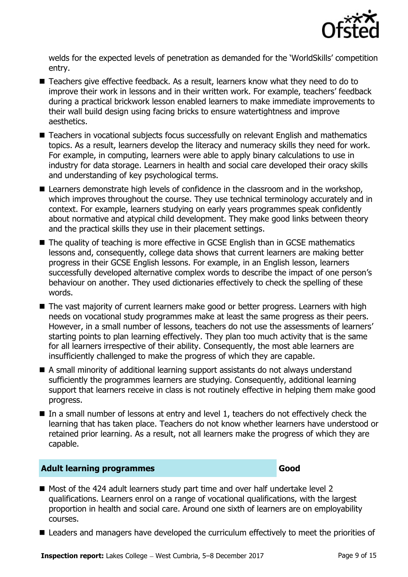

welds for the expected levels of penetration as demanded for the 'WorldSkills' competition entry.

- Teachers give effective feedback. As a result, learners know what they need to do to improve their work in lessons and in their written work. For example, teachers' feedback during a practical brickwork lesson enabled learners to make immediate improvements to their wall build design using facing bricks to ensure watertightness and improve aesthetics.
- Teachers in vocational subjects focus successfully on relevant English and mathematics topics. As a result, learners develop the literacy and numeracy skills they need for work. For example, in computing, learners were able to apply binary calculations to use in industry for data storage. Learners in health and social care developed their oracy skills and understanding of key psychological terms.
- Learners demonstrate high levels of confidence in the classroom and in the workshop, which improves throughout the course. They use technical terminology accurately and in context. For example, learners studying on early years programmes speak confidently about normative and atypical child development. They make good links between theory and the practical skills they use in their placement settings.
- The quality of teaching is more effective in GCSE English than in GCSE mathematics lessons and, consequently, college data shows that current learners are making better progress in their GCSE English lessons. For example, in an English lesson, learners successfully developed alternative complex words to describe the impact of one person's behaviour on another. They used dictionaries effectively to check the spelling of these words.
- The vast majority of current learners make good or better progress. Learners with high needs on vocational study programmes make at least the same progress as their peers. However, in a small number of lessons, teachers do not use the assessments of learners' starting points to plan learning effectively. They plan too much activity that is the same for all learners irrespective of their ability. Consequently, the most able learners are insufficiently challenged to make the progress of which they are capable.
- A small minority of additional learning support assistants do not always understand sufficiently the programmes learners are studying. Consequently, additional learning support that learners receive in class is not routinely effective in helping them make good progress.
- In a small number of lessons at entry and level 1, teachers do not effectively check the learning that has taken place. Teachers do not know whether learners have understood or retained prior learning. As a result, not all learners make the progress of which they are capable.

#### **Adult learning programmes Good**

- Most of the 424 adult learners study part time and over half undertake level 2 qualifications. Learners enrol on a range of vocational qualifications, with the largest proportion in health and social care. Around one sixth of learners are on employability courses.
- Leaders and managers have developed the curriculum effectively to meet the priorities of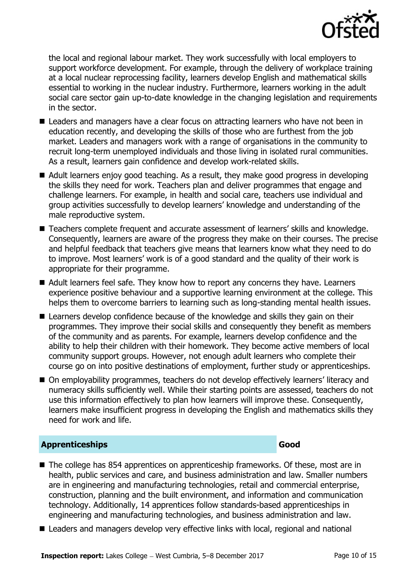

the local and regional labour market. They work successfully with local employers to support workforce development. For example, through the delivery of workplace training at a local nuclear reprocessing facility, learners develop English and mathematical skills essential to working in the nuclear industry. Furthermore, learners working in the adult social care sector gain up-to-date knowledge in the changing legislation and requirements in the sector.

- Leaders and managers have a clear focus on attracting learners who have not been in education recently, and developing the skills of those who are furthest from the job market. Leaders and managers work with a range of organisations in the community to recruit long-term unemployed individuals and those living in isolated rural communities. As a result, learners gain confidence and develop work-related skills.
- Adult learners enjoy good teaching. As a result, they make good progress in developing the skills they need for work. Teachers plan and deliver programmes that engage and challenge learners. For example, in health and social care, teachers use individual and group activities successfully to develop learners' knowledge and understanding of the male reproductive system.
- Teachers complete frequent and accurate assessment of learners' skills and knowledge. Consequently, learners are aware of the progress they make on their courses. The precise and helpful feedback that teachers give means that learners know what they need to do to improve. Most learners' work is of a good standard and the quality of their work is appropriate for their programme.
- Adult learners feel safe. They know how to report any concerns they have. Learners experience positive behaviour and a supportive learning environment at the college. This helps them to overcome barriers to learning such as long-standing mental health issues.
- Learners develop confidence because of the knowledge and skills they gain on their programmes. They improve their social skills and consequently they benefit as members of the community and as parents. For example, learners develop confidence and the ability to help their children with their homework. They become active members of local community support groups. However, not enough adult learners who complete their course go on into positive destinations of employment, further study or apprenticeships.
- On employability programmes, teachers do not develop effectively learners' literacy and numeracy skills sufficiently well. While their starting points are assessed, teachers do not use this information effectively to plan how learners will improve these. Consequently, learners make insufficient progress in developing the English and mathematics skills they need for work and life.

### **Apprenticeships Good**

- The college has 854 apprentices on apprenticeship frameworks. Of these, most are in health, public services and care, and business administration and law. Smaller numbers are in engineering and manufacturing technologies, retail and commercial enterprise, construction, planning and the built environment, and information and communication technology. Additionally, 14 apprentices follow standards-based apprenticeships in engineering and manufacturing technologies, and business administration and law.
- Leaders and managers develop very effective links with local, regional and national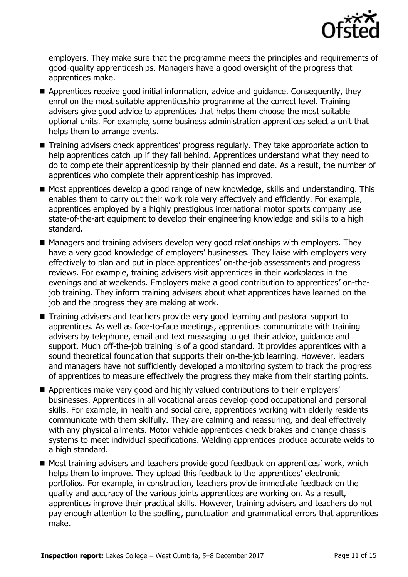

employers. They make sure that the programme meets the principles and requirements of good-quality apprenticeships. Managers have a good oversight of the progress that apprentices make.

- Apprentices receive good initial information, advice and guidance. Consequently, they enrol on the most suitable apprenticeship programme at the correct level. Training advisers give good advice to apprentices that helps them choose the most suitable optional units. For example, some business administration apprentices select a unit that helps them to arrange events.
- Training advisers check apprentices' progress regularly. They take appropriate action to help apprentices catch up if they fall behind. Apprentices understand what they need to do to complete their apprenticeship by their planned end date. As a result, the number of apprentices who complete their apprenticeship has improved.
- Most apprentices develop a good range of new knowledge, skills and understanding. This enables them to carry out their work role very effectively and efficiently. For example, apprentices employed by a highly prestigious international motor sports company use state-of-the-art equipment to develop their engineering knowledge and skills to a high standard.
- Managers and training advisers develop very good relationships with employers. They have a very good knowledge of employers' businesses. They liaise with employers very effectively to plan and put in place apprentices' on-the-job assessments and progress reviews. For example, training advisers visit apprentices in their workplaces in the evenings and at weekends. Employers make a good contribution to apprentices' on-thejob training. They inform training advisers about what apprentices have learned on the job and the progress they are making at work.
- Training advisers and teachers provide very good learning and pastoral support to apprentices. As well as face-to-face meetings, apprentices communicate with training advisers by telephone, email and text messaging to get their advice, guidance and support. Much off-the-job training is of a good standard. It provides apprentices with a sound theoretical foundation that supports their on-the-job learning. However, leaders and managers have not sufficiently developed a monitoring system to track the progress of apprentices to measure effectively the progress they make from their starting points.
- Apprentices make very good and highly valued contributions to their employers' businesses. Apprentices in all vocational areas develop good occupational and personal skills. For example, in health and social care, apprentices working with elderly residents communicate with them skilfully. They are calming and reassuring, and deal effectively with any physical ailments. Motor vehicle apprentices check brakes and change chassis systems to meet individual specifications. Welding apprentices produce accurate welds to a high standard.
- Most training advisers and teachers provide good feedback on apprentices' work, which helps them to improve. They upload this feedback to the apprentices' electronic portfolios. For example, in construction, teachers provide immediate feedback on the quality and accuracy of the various joints apprentices are working on. As a result, apprentices improve their practical skills. However, training advisers and teachers do not pay enough attention to the spelling, punctuation and grammatical errors that apprentices make.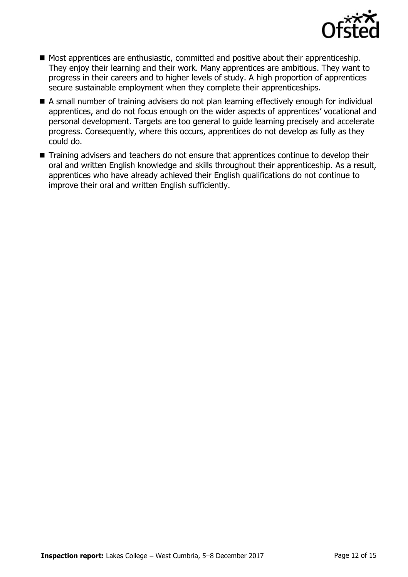

- Most apprentices are enthusiastic, committed and positive about their apprenticeship. They enjoy their learning and their work. Many apprentices are ambitious. They want to progress in their careers and to higher levels of study. A high proportion of apprentices secure sustainable employment when they complete their apprenticeships.
- A small number of training advisers do not plan learning effectively enough for individual apprentices, and do not focus enough on the wider aspects of apprentices' vocational and personal development. Targets are too general to guide learning precisely and accelerate progress. Consequently, where this occurs, apprentices do not develop as fully as they could do.
- Training advisers and teachers do not ensure that apprentices continue to develop their oral and written English knowledge and skills throughout their apprenticeship. As a result, apprentices who have already achieved their English qualifications do not continue to improve their oral and written English sufficiently.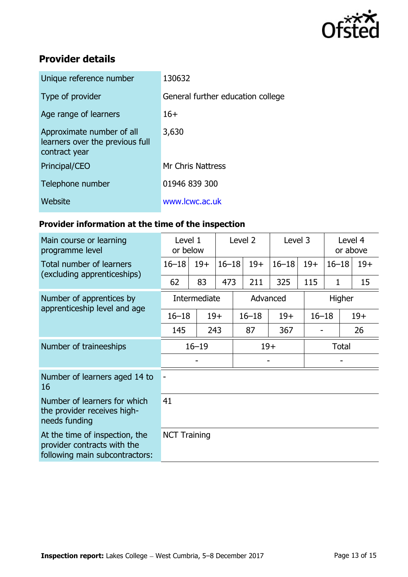

# **Provider details**

| Unique reference number                                                       | 130632                            |
|-------------------------------------------------------------------------------|-----------------------------------|
| Type of provider                                                              | General further education college |
| Age range of learners                                                         | $16+$                             |
| Approximate number of all<br>learners over the previous full<br>contract year | 3,630                             |
| Principal/CEO                                                                 | <b>Mr Chris Nattress</b>          |
| Telephone number                                                              | 01946 839 300                     |
| Website                                                                       | www.lcwc.ac.uk                    |
|                                                                               |                                   |

# **Provider information at the time of the inspection**

| Main course or learning<br>programme level                                                      | Level 1<br>or below |       | Level 2   |           | Level 3   |           | Level 4<br>or above |       |  |
|-------------------------------------------------------------------------------------------------|---------------------|-------|-----------|-----------|-----------|-----------|---------------------|-------|--|
| Total number of learners                                                                        | $16 - 18$           | $19+$ | $16 - 18$ | $19+$     | $16 - 18$ | $19+$     | $16 - 18$           | $19+$ |  |
| (excluding apprenticeships)                                                                     | 62                  | 83    | 473       | 211       | 325       | 115       | $\mathbf{1}$        | 15    |  |
| Number of apprentices by<br>apprenticeship level and age                                        | Intermediate        |       |           | Advanced  |           |           | Higher              |       |  |
|                                                                                                 | $16 - 18$           | $19+$ |           | $16 - 18$ | $19+$     | $16 - 18$ |                     | $19+$ |  |
|                                                                                                 | 145                 | 243   |           | 87        | 367       |           |                     | 26    |  |
| Number of traineeships                                                                          | $16 - 19$           |       |           | $19+$     |           |           | <b>Total</b>        |       |  |
|                                                                                                 |                     |       |           |           |           |           |                     |       |  |
| Number of learners aged 14 to<br>16                                                             |                     |       |           |           |           |           |                     |       |  |
| Number of learners for which<br>the provider receives high-<br>needs funding                    | 41                  |       |           |           |           |           |                     |       |  |
| At the time of inspection, the<br>provider contracts with the<br>following main subcontractors: | <b>NCT Training</b> |       |           |           |           |           |                     |       |  |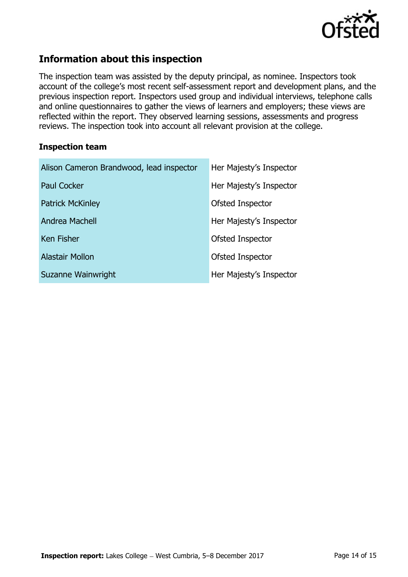

# **Information about this inspection**

The inspection team was assisted by the deputy principal, as nominee. Inspectors took account of the college's most recent self-assessment report and development plans, and the previous inspection report. Inspectors used group and individual interviews, telephone calls and online questionnaires to gather the views of learners and employers; these views are reflected within the report. They observed learning sessions, assessments and progress reviews. The inspection took into account all relevant provision at the college.

#### **Inspection team**

| Alison Cameron Brandwood, lead inspector | Her Majesty's Inspector |
|------------------------------------------|-------------------------|
| <b>Paul Cocker</b>                       | Her Majesty's Inspector |
| <b>Patrick McKinley</b>                  | Ofsted Inspector        |
| Andrea Machell                           | Her Majesty's Inspector |
| <b>Ken Fisher</b>                        | Ofsted Inspector        |
| <b>Alastair Mollon</b>                   | Ofsted Inspector        |
| Suzanne Wainwright                       | Her Majesty's Inspector |